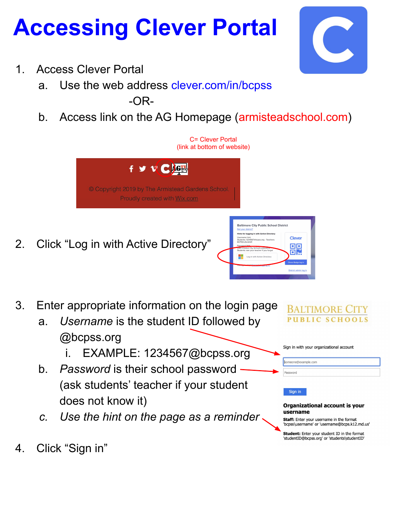## **Accessing Clever Portal**

- 1. Access Clever Portal
	- a. Use the web address clever.com/in/bcpss -OR-
	- b. Access link on the AG Homepage (armisteadschool.com)



- a. *Username* is the student ID followed by @bcpss.org
	- EXAMPLE: 1234567@bcpss.org
- b. *Password* is their school password (ask students' teacher if your student does not know it)
- *c. Use the hint on the page as a reminder*

BALTIMORE PUBLIC

Sign in with your organizational account

someone@example.com

Sign in

Password

### Organizational account is your username

Staff: Enter your username in the format 'bcpss\username' or 'username@bcps.k12.md.us'

Student: Enter your student ID in the format 'studentID@bcpss.org' or 'students\studentID'

4. Click "Sign in"